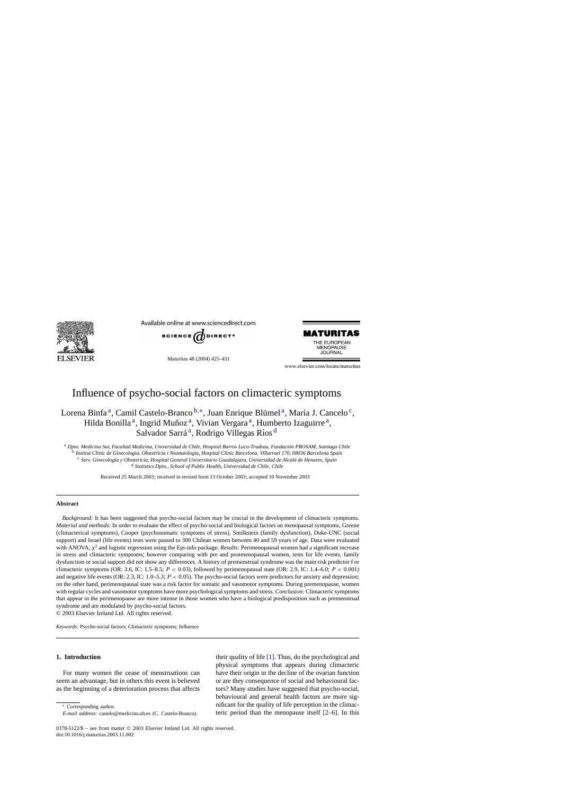

Available online at www.sciencedirect.com



Maturitas 48 (2004) 425–431



www.elsevier.com/locate/maturitas

# Influence of psycho-social factors on climacteric symptoms

## Lorena Binfa<sup>a</sup>, Camil Castelo-Branco  $b$ ,\*, Juan Enrique Blümel<sup>a</sup>, María J. Cancelo<sup>c</sup>, Hilda Bonilla<sup>a</sup>, Ingrid Muñoz<sup>a</sup>, Vivian Vergara<sup>a</sup>, Humberto Izaguirre<sup>a</sup>, Salvador Sarrá<sup>a</sup>, Rodrigo Villegas Ríos<sup>d</sup>

<sup>a</sup> *Dpto. Medicina Sur, Facultad Medicina, Universidad de Chile, Hospital Barros Luco-Trudeau, Fundación PROSAM, Santiago Chile* <sup>b</sup> Institut Clínic de Ginecologia, Obstetrícia i Neonatologia, Hospital Clínic Barcelona, Villarroel 170, 08036 Barcelona Spain <sup>c</sup> Serv. Ginecología y Obstetricia, Hospital General Universitario Guadalajara, Universidad de Alcalá de Henares, Spain <sup>d</sup> *Statistics Dpto., School of Public Health, Universidad de Chile, Chile*

Received 25 March 2003; received in revised form 13 October 2003; accepted 10 November 2003

## **Abstract**

*Background:* It has been suggested that psycho-social factors may be crucial in the development of climacteric symptoms. *Material and methods:* In order to evaluate the effect of psycho-social and biological factors on menopausal symptoms, Greene (climacterical symptoms), Cooper (psychosomatic symptoms of stress), Smilkstein (family dysfunction), Duke-UNC (social support) and Israel (life events) tests were passed to 300 Chilean women between 40 and 59 years of age. Data were evaluated with ANOVA, χ<sup>2</sup> and logistic regression using the Epi-info package. *Results:* Perimenopausal women had a significant increase in stress and climacteric symptoms; however comparing with pre and postmenopausal women, tests for life events, family dysfunction or social support did not show any differences. A history of premenstrual syndrome was the main risk predictor f or climacteric symptoms (OR: 3.6, IC: 1.5–8.5;  $P < 0.03$ ), followed by perimenopausal state (OR: 2.9, IC: 1.4–6.0;  $P < 0.001$ ) and negative life events (OR: 2.3, IC: 1.0–5.3;  $P < 0.05$ ). The psycho-social factors were predictors for anxiety and depression; on the other hand, perimenopausal state was a risk factor for somatic and vasomotor symptoms. During premenopause, women with regular cycles and vasomotor symptoms have more psychological symptoms and stress. *Conclusion:* Climacteric symptoms that appear in the perimenopause are more intense in those women who have a biological predisposition such as premenstrual syndrome and are modulated by psycho-social factors.

© 2003 Elsevier Ireland Ltd. All rights reserved.

*Keywords:* Psycho-social factors; Climacteric symptoms; Influence

## **1. Introduction**

For many women the cease of menstruations can seem an advantage, but in others this event is believed as the beginning of a deterioration process that affects

∗ Corresponding author. *E-mail address:* castelo@medicina.ub.es (C. Castelo-Branco). their quality of life [\[1\]. T](#page-5-0)hus, do the psychological and physical symptoms that appears during climacteric have their origin in the decline of the ovarian function or are they consequence of social and behavioural factors? Many studies have suggested that psycho-social, behavioural and general health factors are more significant for the quality of life perception in the climacteric period than the menopause itself [\[2–6\].](#page-5-0) In this

<sup>0378-5122/\$ –</sup> see front matter © 2003 Elsevier Ireland Ltd. All rights reserved. doi:10.1016/j.maturitas.2003.11.002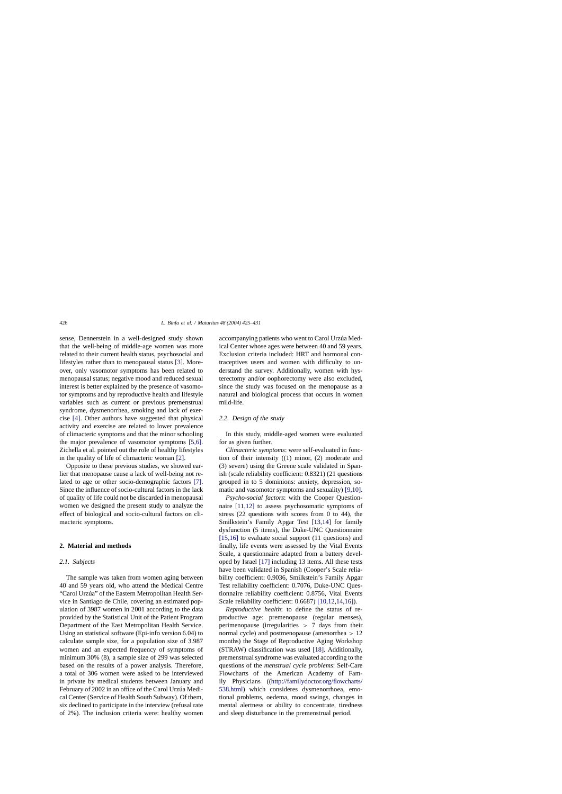sense, Dennerstein in a well-designed study shown that the well-being of middle-age women was more related to their current health status, psychosocial and lifestyles rather than to menopausal status [\[3\].](#page-5-0) Moreover, only vasomotor symptoms has been related to menopausal status; negative mood and reduced sexual interest is better explained by the presence of vasomotor symptoms and by reproductive health and lifestyle variables such as current or previous premenstrual syndrome, dysmenorrhea, smoking and lack of exercise [\[4\].](#page-5-0) Other authors have suggested that physical activity and exercise are related to lower prevalence of climacteric symptoms and that the minor schooling the major prevalence of vasomotor symptoms [\[5,6\].](#page-5-0) Zichella et al. pointed out the role of healthy lifestyles in the quality of life of climacteric woman [\[2\].](#page-5-0)

Opposite to these previous studies, we showed earlier that menopause cause a lack of well-being not related to age or other socio-demographic factors [\[7\].](#page-5-0) Since the influence of socio-cultural factors in the lack of quality of life could not be discarded in menopausal women we designed the present study to analyze the effect of biological and socio-cultural factors on climacteric symptoms.

#### **2. Material and methods**

#### *2.1. Subjects*

The sample was taken from women aging between 40 and 59 years old, who attend the Medical Centre "Carol Urzúa" of the Eastern Metropolitan Health Service in Santiago de Chile, covering an estimated population of 3987 women in 2001 according to the data provided by the Statistical Unit of the Patient Program Department of the East Metropolitan Health Service. Using an statistical software (Epi-info version 6.04) to calculate sample size, for a population size of 3.987 women and an expected frequency of symptoms of minimum 30% (8), a sample size of 299 was selected based on the results of a power analysis. Therefore, a total of 306 women were asked to be interviewed in private by medical students between January and February of 2002 in an office of the Carol Urzúa Medical Center (Service of Health South Subway). Of them, six declined to participate in the interview (refusal rate of 2%). The inclusion criteria were: healthy women accompanying patients who went to Carol Urzúa Medical Center whose ages were between 40 and 59 years. Exclusion criteria included: HRT and hormonal contraceptives users and women with difficulty to understand the survey. Additionally, women with hysterectomy and/or oophorectomy were also excluded, since the study was focused on the menopause as a natural and biological process that occurs in women mild-life.

#### *2.2. Design of the study*

In this study, middle-aged women were evaluated for as given further.

*Climacteric symptoms*: were self-evaluated in function of their intensity ((1) minor, (2) moderate and (3) severe) using the Greene scale validated in Spanish (scale reliability coefficient: 0.8321) (21 questions grouped in to 5 dominions: anxiety, depression, somatic and vasomotor symptoms and sexuality) [\[9,10\].](#page-5-0)

*Psycho-social factors*: with the Cooper Questionnaire [\[11,12\]](#page-5-0) to assess psychosomatic symptoms of stress (22 questions with scores from 0 to 44), the Smilkstein's Family Apgar Test [\[13,14\]](#page-5-0) for family dysfunction (5 items), the Duke-UNC Questionnaire [\[15,16\]](#page-5-0) to evaluate social support (11 questions) and finally, life events were assessed by the Vital Events Scale, a questionnaire adapted from a battery developed by Israel [\[17\]](#page-5-0) including 13 items. All these tests have been validated in Spanish (Cooper's Scale reliability coefficient: 0.9036, Smilkstein's Family Apgar Test reliability coefficient: 0.7076, Duke-UNC Questionnaire reliability coefficient: 0.8756, Vital Events Scale reliability coefficient: 0.6687) [\[10,12,14,16\]\).](#page-5-0)

*Reproductive health*: to define the status of reproductive age: premenopause (regular menses), perimenopause (irregularities  $> 7$  days from their normal cycle) and postmenopause (amenorrhea > 12 months) the Stage of Reproductive Aging Workshop (STRAW) classification was used [\[18\].](#page-5-0) Additionally, premenstrual syndrome was evaluated according to the questions of the *menstrual cycle problems*: Self-Care Flowcharts of the American Academy of Family Physicians (([http://familydoctor.org/flowcharts/](http://familydoctor.org/flowcharts/538.html) [538.html](http://familydoctor.org/flowcharts/538.html)) which consideres dysmenorrhoea, emotional problems, oedema, mood swings, changes in mental alertness or ability to concentrate, tiredness and sleep disturbance in the premenstrual period.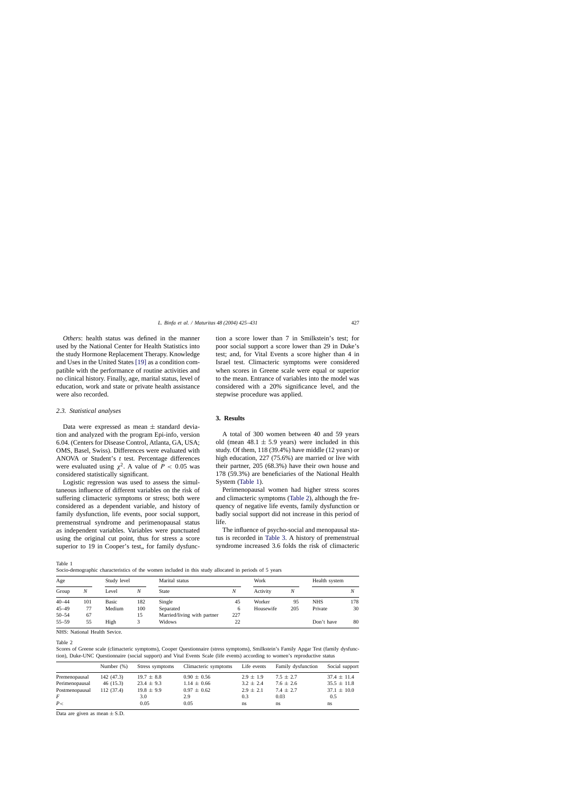*Others*: health status was defined in the manner used by the National Center for Health Statistics into the study Hormone Replacement Therapy. Knowledge and Uses in the United States [\[19\]](#page-5-0) as a condition compatible with the performance of routine activities and no clinical history. Finally, age, marital status, level of education, work and state or private health assistance were also recorded.

#### *2.3. Statistical analyses*

Data were expressed as mean  $\pm$  standard deviation and analyzed with the program Epi-info, version 6.04. (Centers for Disease Control, Atlanta, GA, USA; OMS, Basel, Swiss). Differences were evaluated with ANOVA or Student's *t* test. Percentage differences were evaluated using  $\chi^2$ . A value of  $P < 0.05$  was considered statistically significant.

Logistic regression was used to assess the simultaneous influence of different variables on the risk of suffering climacteric symptoms or stress; both were considered as a dependent variable, and history of family dysfunction, life events, poor social support, premenstrual syndrome and perimenopausal status as independent variables. Variables were punctuated using the original cut point, thus for stress a score superior to 19 in Cooper's test, for family dysfunction a score lower than 7 in Smilkstein's test; for poor social support a score lower than 29 in Duke's test; and, for Vital Events a score higher than 4 in Israel test. Climacteric symptoms were considered when scores in Greene scale were equal or superior to the mean. Entrance of variables into the model was considered with a 20% significance level, and the stepwise procedure was applied.

## **3. Results**

A total of 300 women between 40 and 59 years old (mean  $48.1 \pm 5.9$  years) were included in this study. Of them, 118 (39.4%) have middle (12 years) or high education, 227 (75.6%) are married or live with their partner, 205 (68.3%) have their own house and 178 (59.3%) are beneficiaries of the National Health System (Table 1).

Perimenopausal women had higher stress scores and climacteric symptoms (Table 2), although the frequency of negative life events, family dysfunction or badly social support did not increase in this period of life.

The influence of psycho-social and menopausal status is recorded in [Table 3.](#page-3-0) A history of premenstrual syndrome increased 3.6 folds the risk of climacteric

Table 1

Socio-demographic characteristics of the women included in this study allocated in periods of 5 years

| Age       |     | Study level |     | Marital status              |     | Work      |     | Health system |     |
|-----------|-----|-------------|-----|-----------------------------|-----|-----------|-----|---------------|-----|
| Group     | N   | Level       | Ν   | <b>State</b>                | N   | Activity  | N   |               |     |
| $40 - 44$ | 101 | Basic       | 182 | Single                      | 45  | Worker    | 95  | <b>NHS</b>    | 178 |
| $45 - 49$ | 77  | Medium      | 100 | Separated                   | 6   | Housewife | 205 | Private       | 30  |
| $50 - 54$ | 67  |             | 15  | Married/living with partner | 227 |           |     |               |     |
| $55 - 59$ | 55  | High        | 3   | Widows                      | 22  |           |     | Don't have    | 80  |

NHS: National Health Sevice.

Table 2

Scores of Greene scale (climacteric symptoms), Cooper Questionnaire (stress symptoms), Smilkstein's Family Apgar Test (family dysfunction), Duke-UNC Questionnaire (social support) and Vital Events Scale (life events) according to women's reproductive status

|                | Number $(\%)$ | Stress symptoms | Climacteric symptoms | Life events   | Family dysfunction | Social support  |
|----------------|---------------|-----------------|----------------------|---------------|--------------------|-----------------|
| Premenopausal  | 142 (47.3)    | $19.7 \pm 8.8$  | $0.90 \pm 0.56$      | $2.9 \pm 1.9$ | $7.5 + 2.7$        | $37.4 \pm 11.4$ |
| Perimenopausal | 46(15.3)      | $23.4 \pm 9.3$  | $1.14 \pm 0.66$      | $3.2 \pm 2.4$ | $7.6 \pm 2.6$      | $35.5 \pm 11.8$ |
| Postmenopausal | 112 (37.4)    | $19.8 \pm 9.9$  | $0.97 \pm 0.62$      | $2.9 \pm 2.1$ | $7.4 \pm 2.7$      | $37.1 \pm 10.0$ |
| F              |               | 3.0             | 2.9                  | 0.3           | 0.03               | 0.5             |
| P<             |               | 0.05            | 0.05                 | ns            | ns                 | ns              |

Data are given as mean  $\pm$  S.D.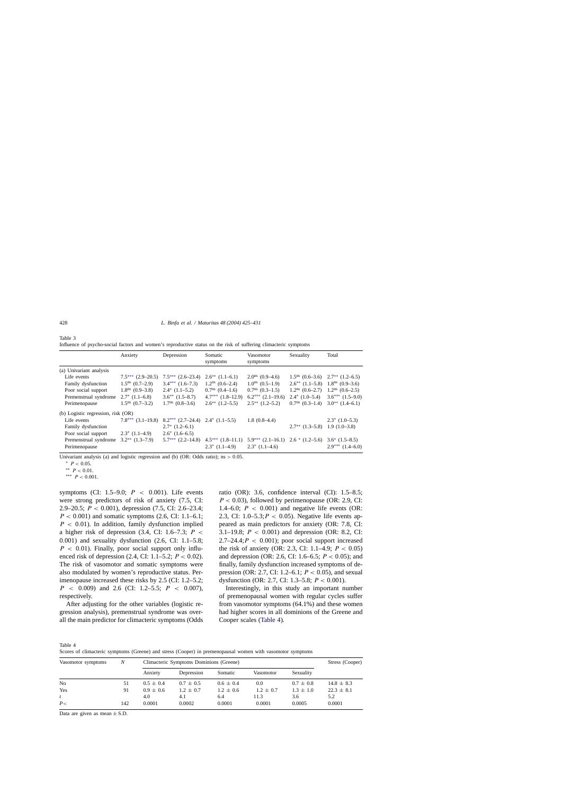|                                    | Anxiety               | Depression                               | Somatic<br>symptoms           | Vasomotor<br>symptoms | Sexuality                              | Total                                                   |
|------------------------------------|-----------------------|------------------------------------------|-------------------------------|-----------------------|----------------------------------------|---------------------------------------------------------|
| (a) Univariant analysis            |                       |                                          |                               |                       |                                        |                                                         |
| Life events                        | $7.5***$ $(2.9-20.5)$ | $7.5***$ $(2.6-23.4)$                    | $2.6^{**}$ $(1.1-6.1)$        | $2.0ns$ (0.9–4.6)     |                                        | $1.5^{\text{ns}}$ (0.6–3.6) $2.7^{\text{**}}$ (1.2–6.5) |
| Family dysfunction                 | $1.5ns$ (0.7–2.9)     | $3.4***$ $(1.6-7.3)$                     | $1.2^{\text{ns}}$ $(0.6-2.4)$ | $1.0ns$ (0.5–1.9)     |                                        | $2.6^{**}$ (1.1–5.8) 1.8 <sup>ns</sup> (0.9–3.6)        |
| Poor social support                | $1.8ns$ (0.9–3.8)     | $2.4^*$ $(1.1-5.2)$                      | $0.7ns$ (0.4–1.6)             | $0.7ns$ $(0.3-1.5)$   | $1.2^{\text{ns}}$ $(0.6-2.7)$          | $1.2^{\text{ns}}$ $(0.6-2.5)$                           |
| Premenstrual syndrome              | $2.7^*$ $(1.1-6.8)$   | $3.6**$ $(1.5-8.7)$                      | $4.7***$ $(1.8-12.9)$         | $6.2***$ $(2.1-19.6)$ | $2.4*$ $(1.0-5.4)$                     | $3.6***$ $(1.5-9.0)$                                    |
| Perimenopause                      | $1.5ns$ (0.7–3.2)     | $1.7ns$ (0.8–3.6)                        | $2.6^{**}$ $(1.2-5.5)$        | $2.5***(1.2–5.2)$     | $0.7ns$ (0.3-1.4)                      | $3.0^{**}$ $(1.4-6.1)$                                  |
| (b) Logistic regression, risk (OR) |                       |                                          |                               |                       |                                        |                                                         |
| Life events                        | $7.8***$ $(3.1–19.8)$ | $8.2***$ $(2.7-24.4)$ $2.4*$ $(1.1-5.5)$ |                               | $1.8(0.8-4.4)$        |                                        | $2.3*$ $(1.0-5.3)$                                      |
| Family dysfunction                 |                       | $2.7^*$ $(1.2-6.1)$                      |                               |                       | $2.7^{**}$ $(1.3-5.8)$ 1.9 $(1.0-3.8)$ |                                                         |
| Poor social support                | $2.3^*$ $(1.1-4.9)$   | $2.6^*$ $(1.6-6.5)$                      |                               |                       |                                        |                                                         |
| Premenstrual syndrome              | $3.2**$ $(1.3-7.9)$   | $5.7***$ $(2.2-14.8)$                    | $4.5***(1.8–11.1)$            | $5.9***(2.1–16.1)$    | $2.6 * (1.2 - 5.6)$                    | $3.6^*$ $(1.5-8.5)$                                     |
| Perimenopause                      |                       |                                          | $2.3^*$ $(1.1-4.9)$           | $2.3^*$ (1.1–4.6)     |                                        | $2.9***$ $(1.4-6.0)$                                    |
|                                    |                       |                                          |                               |                       |                                        |                                                         |

Influence of psycho-social factors and women's reproductive status on the risk of suffering climacteric symptoms

Univariant analysis (a) and logistic regression and (b) (OR: Odds ratio);  $ns > 0.05$ .

∗ P < 0.05.

∗∗ P < 0.01.

∗∗∗ P < 0.001.

symptoms (CI: 1.5–9.0;  $P < 0.001$ ). Life events were strong predictors of risk of anxiety (7.5, CI: 2.9–20.5; P < 0.001), depression (7.5, CI: 2.6–23.4;  $P < 0.001$ ) and somatic symptoms (2.6, CI: 1.1–6.1;  $P < 0.01$ ). In addition, family dysfunction implied a higher risk of depression  $(3.4, \text{CI: } 1.6-7.3; P \leq$ 0.001) and sexuality dysfunction (2.6, CI: 1.1–5.8;  $P < 0.01$ ). Finally, poor social support only influenced risk of depression (2.4, CI: 1.1–5.2;  $P < 0.02$ ). The risk of vasomotor and somatic symptoms were also modulated by women's reproductive status. Perimenopause increased these risks by 2.5 (CI: 1.2–5.2;  $P \leq 0.009$  and 2.6 (CI: 1.2–5.5;  $P \leq 0.007$ ), respectively.

After adjusting for the other variables (logistic regression analysis), premenstrual syndrome was overall the main predictor for climacteric symptoms (Odds ratio (OR): 3.6, confidence interval (CI): 1.5–8.5;  $P < 0.03$ ), followed by perimenopause (OR: 2.9, CI: 1.4–6.0;  $P < 0.001$ ) and negative life events (OR: 2.3, CI:  $1.0-5.3; P < 0.05$ ). Negative life events appeared as main predictors for anxiety (OR: 7.8, CI: 3.1–19.8;  $P < 0.001$ ) and depression (OR: 8.2, CI:  $2.7-24.4$ ;  $P < 0.001$ ); poor social support increased the risk of anxiety (OR: 2.3, CI: 1.1–4.9;  $P < 0.05$ ) and depression (OR: 2.6, CI: 1.6–6.5;  $P < 0.05$ ); and finally, family dysfunction increased symptoms of depression (OR: 2.7, CI: 1.2–6.1;  $P < 0.05$ ), and sexual dysfunction (OR: 2.7, CI: 1.3–5.8;  $P < 0.001$ ).

Interestingly, in this study an important number of premenopausal women with regular cycles suffer from vasomotor symptoms (64.1%) and these women had higher scores in all dominions of the Greene and Cooper scales (Table 4).

Table 4 Scores of climacteric symptoms (Greene) and stress (Cooper) in premenopausal women with vasomotor symptoms

| Vasomotor symptoms | N   | Climacteric Symptoms Dominions (Greene) | Stress (Cooper) |               |               |               |                |
|--------------------|-----|-----------------------------------------|-----------------|---------------|---------------|---------------|----------------|
|                    |     | Anxiety                                 | Depression      | Somatic       | Vasomotor     | Sexuality     |                |
| N <sub>0</sub>     | 51  | $0.5 \pm 0.4$                           | $0.7 \pm 0.5$   | $0.6 \pm 0.4$ | 0.0           | $0.7 \pm 0.8$ | $14.8 \pm 8.3$ |
| Yes                | 91  | $0.9 \pm 0.6$                           | $1.2 \pm 0.7$   | $1.2 \pm 0.6$ | $1.2 \pm 0.7$ | $1.3 \pm 1.0$ | $22.3 \pm 8.1$ |
|                    |     | 4.0                                     | 4.1             | 6.4           | 11.3          | 3.6           | 5.2            |
| P<                 | 142 | 0.0001                                  | 0.0002          | 0.0001        | 0.0001        | 0.0005        | 0.0001         |

Data are given as mean  $\pm$  S.D.

<span id="page-3-0"></span>Table 3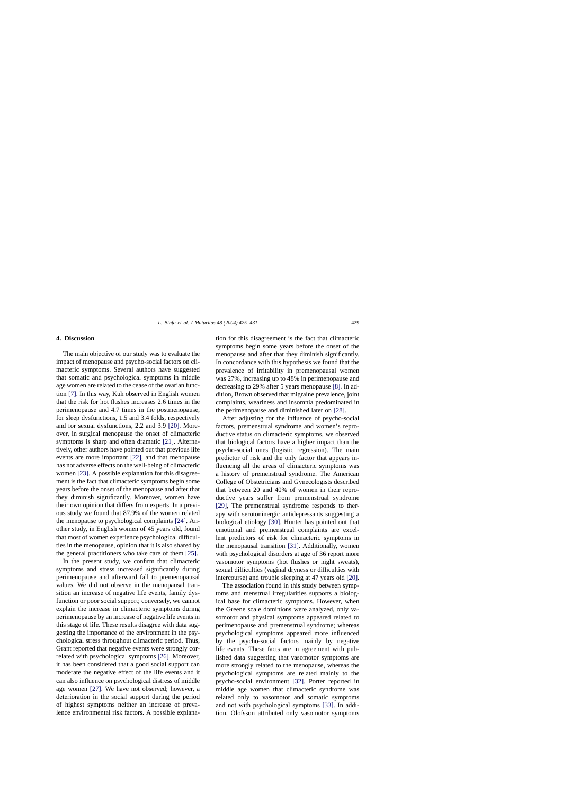## **4. Discussion**

The main objective of our study was to evaluate the impact of menopause and psycho-social factors on climacteric symptoms. Several authors have suggested that somatic and psychological symptoms in middle age women are related to the cease of the ovarian function [\[7\].](#page-5-0) In this way, Kuh observed in English women that the risk for hot flushes increases 2.6 times in the perimenopause and 4.7 times in the postmenopause, for sleep dysfunctions, 1.5 and 3.4 folds, respectively and for sexual dysfunctions, 2.2 and 3.9 [\[20\].](#page-6-0) Moreover, in surgical menopause the onset of climacteric symptoms is sharp and often dramatic [\[21\].](#page-6-0) Alternatively, other authors have pointed out that previous life events are more important [\[22\],](#page-6-0) and that menopause has not adverse effects on the well-being of climacteric women [\[23\]. A](#page-6-0) possible explanation for this disagreement is the fact that climacteric symptoms begin some years before the onset of the menopause and after that they diminish significantly. Moreover, women have their own opinion that differs from experts. In a previous study we found that 87.9% of the women related the menopause to psychological complaints [\[24\].](#page-6-0) Another study, in English women of 45 years old, found that most of women experience psychological difficulties in the menopause, opinion that it is also shared by the general practitioners who take care of them [\[25\].](#page-6-0)

In the present study, we confirm that climacteric symptoms and stress increased significantly during perimenopause and afterward fall to premenopausal values. We did not observe in the menopausal transition an increase of negative life events, family dysfunction or poor social support; conversely, we cannot explain the increase in climacteric symptoms during perimenopause by an increase of negative life events in this stage of life. These results disagree with data suggesting the importance of the environment in the psychological stress throughout climacteric period. Thus, Grant reported that negative events were strongly correlated with psychological symptoms [\[26\].](#page-6-0) Moreover, it has been considered that a good social support can moderate the negative effect of the life events and it can also influence on psychological distress of middle age women [\[27\].](#page-6-0) We have not observed; however, a deterioration in the social support during the period of highest symptoms neither an increase of prevalence environmental risk factors. A possible explanation for this disagreement is the fact that climacteric symptoms begin some years before the onset of the menopause and after that they diminish significantly. In concordance with this hypothesis we found that the prevalence of irritability in premenopausal women was 27%, increasing up to 48% in perimenopause and decreasing to 29% after 5 years menopause [\[8\].](#page-5-0) In addition, Brown observed that migraine prevalence, joint complaints, weariness and insomnia predominated in the perimenopause and diminished later on [\[28\].](#page-6-0)

After adjusting for the influence of psycho-social factors, premenstrual syndrome and women's reproductive status on climacteric symptoms, we observed that biological factors have a higher impact than the psycho-social ones (logistic regression). The main predictor of risk and the only factor that appears influencing all the areas of climacteric symptoms was a history of premenstrual syndrome. The American College of Obstetricians and Gynecologists described that between 20 and 40% of women in their reproductive years suffer from premenstrual syndrome [\[29\],](#page-6-0) The premenstrual syndrome responds to therapy with serotoninergic antidepressants suggesting a biological etiology [\[30\].](#page-6-0) Hunter has pointed out that emotional and premenstrual complaints are excellent predictors of risk for climacteric symptoms in the menopausal transition [\[31\].](#page-6-0) Additionally, women with psychological disorders at age of 36 report more vasomotor symptoms (hot flushes or night sweats), sexual difficulties (vaginal dryness or difficulties with intercourse) and trouble sleeping at 47 years old [\[20\].](#page-6-0)

The association found in this study between symptoms and menstrual irregularities supports a biological base for climacteric symptoms. However, when the Greene scale dominions were analyzed, only vasomotor and physical symptoms appeared related to perimenopause and premenstrual syndrome; whereas psychological symptoms appeared more influenced by the psycho-social factors mainly by negative life events. These facts are in agreement with published data suggesting that vasomotor symptoms are more strongly related to the menopause, whereas the psychological symptoms are related mainly to the psycho-social environment [\[32\].](#page-6-0) Porter reported in middle age women that climacteric syndrome was related only to vasomotor and somatic symptoms and not with psychological symptoms [\[33\].](#page-6-0) In addition, Olofsson attributed only vasomotor symptoms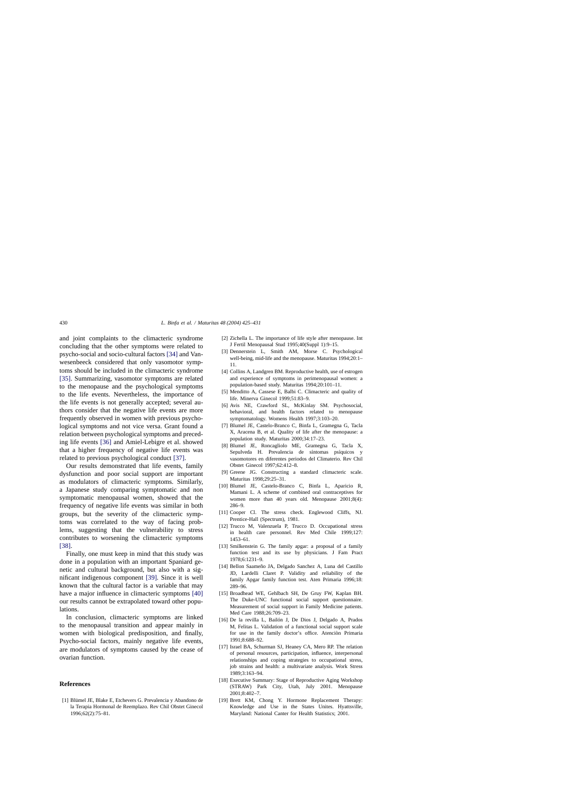<span id="page-5-0"></span>and joint complaints to the climacteric syndrome concluding that the other symptoms were related to psycho-social and socio-cultural factors [\[34\]](#page-6-0) and Vanwesenbeeck considered that only vasomotor symptoms should be included in the climacteric syndrome [\[35\].](#page-6-0) Summarizing, vasomotor symptoms are related to the menopause and the psychological symptoms to the life events. Nevertheless, the importance of the life events is not generally accepted; several authors consider that the negative life events are more frequently observed in women with previous psychological symptoms and not vice versa. Grant found a relation between psychological symptoms and preceding life events [\[36\]](#page-6-0) and Amiel-Lebigre et al. showed that a higher frequency of negative life events was related to previous psychological conduct [\[37\].](#page-6-0)

Our results demonstrated that life events, family dysfunction and poor social support are important as modulators of climacteric symptoms. Similarly, a Japanese study comparing symptomatic and non symptomatic menopausal women, showed that the frequency of negative life events was similar in both groups, but the severity of the climacteric symptoms was correlated to the way of facing problems, suggesting that the vulnerability to stress contributes to worsening the climacteric symptoms [\[38\].](#page-6-0)

Finally, one must keep in mind that this study was done in a population with an important Spaniard genetic and cultural background, but also with a significant indigenous component [\[39\].](#page-6-0) Since it is well known that the cultural factor is a variable that may have a major influence in climacteric symptoms [\[40\]](#page-6-0) our results cannot be extrapolated toward other populations.

In conclusion, climacteric symptoms are linked to the menopausal transition and appear mainly in women with biological predisposition, and finally, Psycho-social factors, mainly negative life events, are modulators of symptoms caused by the cease of ovarian function.

## **References**

[1] Blümel JE, Blake E, Etchevers G. Prevalencia y Abandono de la Terapia Hormonal de Reemplazo. Rev Chil Obstet Ginecol 1996;62(2):75–81.

- [2] Zichella L. The importance of life style after menopause. Int J Fertil Menopausal Stud 1995;40(Suppl 1):9–15.
- [3] Dennerstein L, Smith AM, Morse C. Psychological well-being, mid-life and the menopause. Maturitas 1994;20:1– 11.
- [4] Collins A, Landgren BM. Reproductive health, use of estrogen and experience of symptoms in perimenopausal women: a population-based study. Maturitas 1994;20:101–11.
- [5] Menditto A, Cassese E, Balbi C, Climacteric and quality of life. Minerva Ginecol 1999;51:83–9.
- [6] Avis NE, Crawford SL, McKinlay SM, Psychosocial, behavioral, and health factors related to menopause symptomatology. Womens Health 1997;3:103–20.
- [7] Blumel JE, Castelo-Branco C, Binfa L, Gramegna G, Tacla X, Aracena B, et al. Quality of life after the menopause: a population study. Maturitas 2000;34:17–23.
- [8] Blumel JE, Roncagliolo ME, Gramegna G, Tacla X, Sepulveda H. Prevalencia de síntomas psíquicos y vasomotores en diferentes periodos del Climaterio. Rev Chil Obstet Ginecol 1997;62:412–8.
- [9] Greene JG. Constructing a standard climacteric scale. Maturitas 1998;29:25–31.
- [10] Blumel JE, Castelo-Branco C, Binfa L, Aparicio R, Mamani L. A scheme of combined oral contraceptives for women more than 40 years old. Menopause 2001;8(4): 286–9.
- [11] Cooper Cl. The stress check. Englewood Cliffs, NJ. Prentice-Hall (Spectrum), 1981.
- [12] Trucco M, Valenzuela P, Trucco D. Occupational stress in health care personnel. Rev Med Chile 1999;127: 1453–61.
- [13] Smilkenstein G. The family apgar: a proposal of a family function test and its use by physicians. J Fam Pract 1978;6:1231–9.
- [14] Bellon Saameño JA, Delgado Sanchez A, Luna del Castillo JD, Lardelli Claret P. Validity and reliability of the family Apgar family function test. Aten Primaria 1996;18: 289–96.
- [15] Broadhead WE, Gehlbach SH, De Gruy FW, Kaplan BH. The Duke-UNC functional social support questionnaire. Measurement of social support in Family Medicine patients. Med Care 1988;26:709–23.
- [16] De la revilla L, Bailón J, De Dios J, Delgado A, Prados M, Felitas L. Validation of a functional social support scale for use in the family doctor's office. Atenciòn Primaria 1991;8:688–92.
- [17] Israel BA, Schurman SJ, Heaney CA, Mero RP. The relation of personal resources, participation, influence, interpersonal relationships and coping strategies to occupational stress, job strains and health: a multivariate analysis. Work Stress 1989;3:163–94.
- [18] Executive Summary: Stage of Reproductive Aging Workshop (STRAW) Park City, Utah, July 2001. Menopause 2001;8:402–7.
- [19] Brett KM, Chong Y. Hormone Replacement Therapy: Knowledge and Use in the States Unites. Hyattsville, Maryland: National Canter for Health Statistics; 2001.